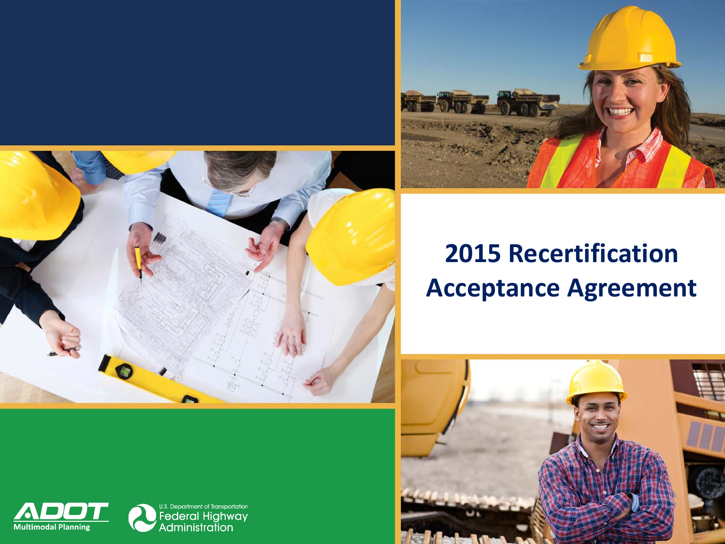



### **2015 Recertification Acceptance Agreement**



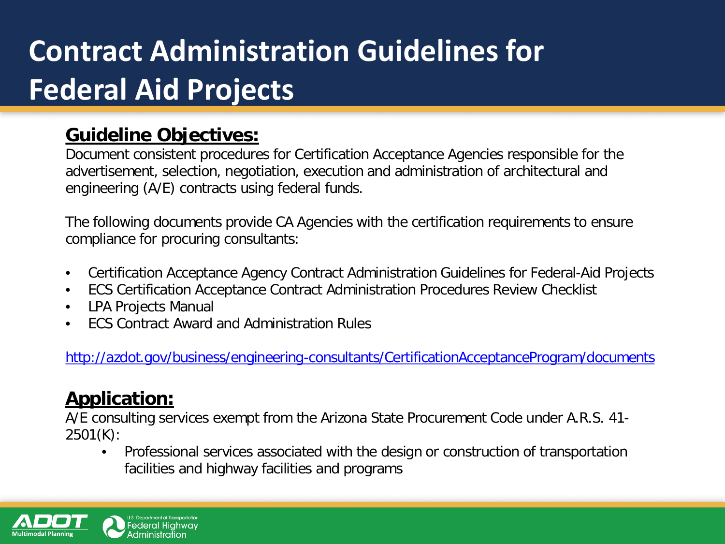# **Contract Administration Guidelines for Federal Aid Projects**

### **Guideline Objectives:**

Document consistent procedures for Certification Acceptance Agencies responsible for the advertisement, selection, negotiation, execution and administration of architectural and engineering (A/E) contracts using federal funds.

The following documents provide CA Agencies with the certification requirements to ensure compliance for procuring consultants:

- Certification Acceptance Agency Contract Administration Guidelines for Federal-Aid Projects
- ECS Certification Acceptance Contract Administration Procedures Review Checklist
- LPA Projects Manual
- [•](http://azdot.gov/business/engineering-consultants/CertificationAcceptanceProgram/documents) ECS Contract Award and Administration Rules

<http://azdot.gov/business/engineering-consultants/CertificationAcceptanceProgram/documents>

### **Application:**

A/E consulting services exempt from the Arizona State Procurement Code under A.R.S. 41- 2501(K):

• Professional services associated with the design or construction of transportation facilities and highway facilities and programs

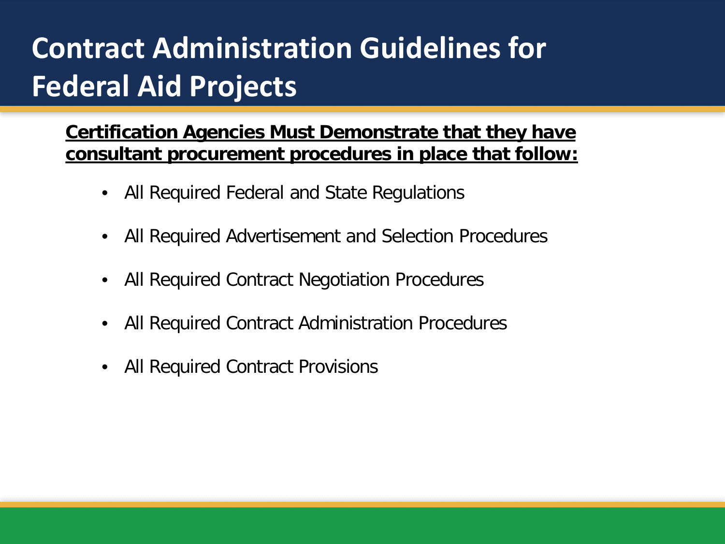# **Contract Administration Guidelines for Federal Aid Projects**

**Certification Agencies Must Demonstrate that they have consultant procurement procedures in place that follow:**

- All Required Federal and State Regulations
- All Required Advertisement and Selection Procedures
- All Required Contract Negotiation Procedures
- All Required Contract Administration Procedures
- All Required Contract Provisions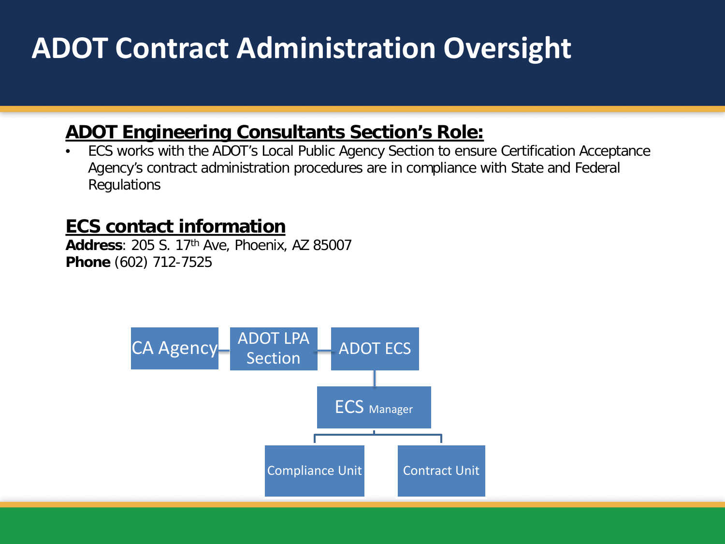## **ADOT Contract Administration Oversight**

### **ADOT Engineering Consultants Section's Role:**

• ECS works with the ADOT's Local Public Agency Section to ensure Certification Acceptance Agency's contract administration procedures are in compliance with State and Federal Regulations

#### **ECS contact information**

**Address**: 205 S. 17th Ave, Phoenix, AZ 85007 **Phone** (602) 712-7525

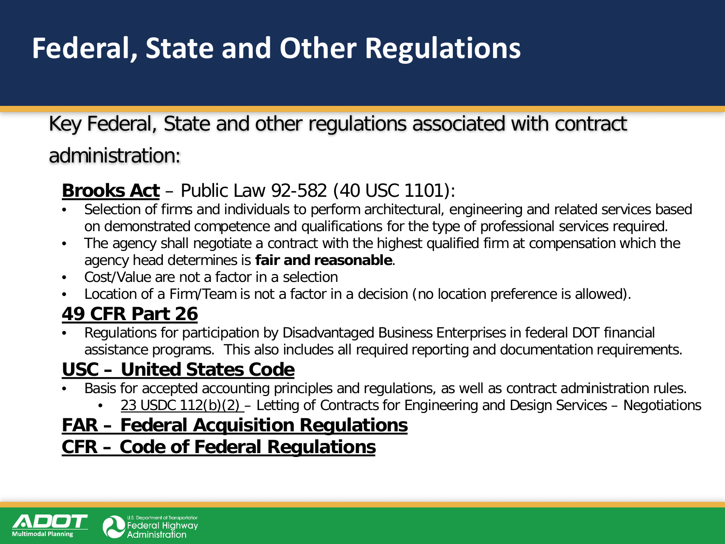## **Federal, State and Other Regulations**

### Key Federal, State and other regulations associated with contract administration:

### **Brooks Act** – Public Law 92-582 (40 USC 1101):

- Selection of firms and individuals to perform architectural, engineering and related services based on demonstrated competence and qualifications for the type of professional services required.
- The agency shall negotiate a contract with the highest qualified firm at compensation which the agency head determines is **fair and reasonable**.
- Cost/Value are not a factor in a selection
- Location of a Firm/Team is not a factor in a decision (no location preference is allowed).

### **49 CFR Part 26**

• Regulations for participation by Disadvantaged Business Enterprises in federal DOT financial assistance programs. This also includes all required reporting and documentation requirements.

### **USC – United States Code**

- Basis for accepted accounting principles and regulations, as well as contract administration rules.
	- 23 USDC 112(b)(2) Letting of Contracts for Engineering and Design Services Negotiations

### **FAR – Federal Acquisition Regulations**

### **CFR – Code of Federal Regulations**

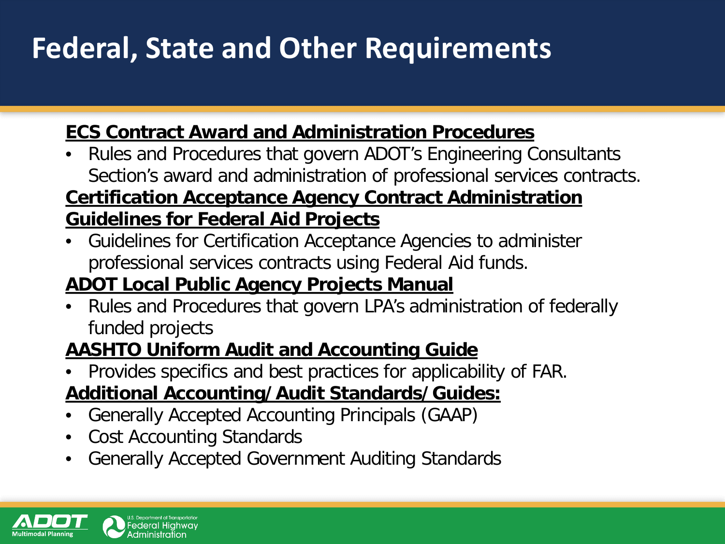## **Federal, State and Other Requirements**

### **ECS Contract Award and Administration Procedures**

• Rules and Procedures that govern ADOT's Engineering Consultants Section's award and administration of professional services contracts.

### **Certification Acceptance Agency Contract Administration Guidelines for Federal Aid Projects**

• Guidelines for Certification Acceptance Agencies to administer professional services contracts using Federal Aid funds.

### **ADOT Local Public Agency Projects Manual**

• Rules and Procedures that govern LPA's administration of federally funded projects

### **AASHTO Uniform Audit and Accounting Guide**

• Provides specifics and best practices for applicability of FAR.

### **Additional Accounting/Audit Standards/Guides:**

- Generally Accepted Accounting Principals (GAAP)
- Cost Accounting Standards
- Generally Accepted Government Auditing Standards

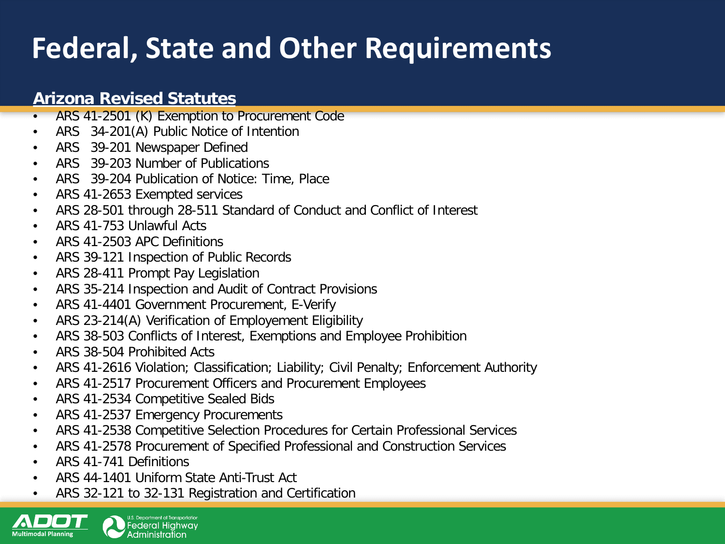## **Federal, State and Other Requirements**

#### **Arizona Revised Statutes**

- ARS 41-2501 (K) Exemption to Procurement Code
- ARS 34-201(A) Public Notice of Intention
- ARS 39-201 Newspaper Defined
- ARS 39-203 Number of Publications
- ARS 39-204 Publication of Notice: Time, Place
- ARS 41-2653 Exempted services
- ARS 28-501 through 28-511 Standard of Conduct and Conflict of Interest
- ARS 41-753 Unlawful Acts
- ARS 41-2503 APC Definitions
- ARS 39-121 Inspection of Public Records
- ARS 28-411 Prompt Pay Legislation
- ARS 35-214 Inspection and Audit of Contract Provisions
- ARS 41-4401 Government Procurement, E-Verify
- ARS 23-214(A) Verification of Employement Eligibility
- ARS 38-503 Conflicts of Interest, Exemptions and Employee Prohibition
- ARS 38-504 Prohibited Acts
- ARS 41-2616 Violation; Classification; Liability; Civil Penalty; Enforcement Authority
- ARS 41-2517 Procurement Officers and Procurement Employees
- ARS 41-2534 Competitive Sealed Bids
- ARS 41-2537 Emergency Procurements
- ARS 41-2538 Competitive Selection Procedures for Certain Professional Services
- ARS 41-2578 Procurement of Specified Professional and Construction Services
- ARS 41-741 Definitions
- ARS 44-1401 Uniform State Anti-Trust Act
- ARS 32-121 to 32-131 Registration and Certification

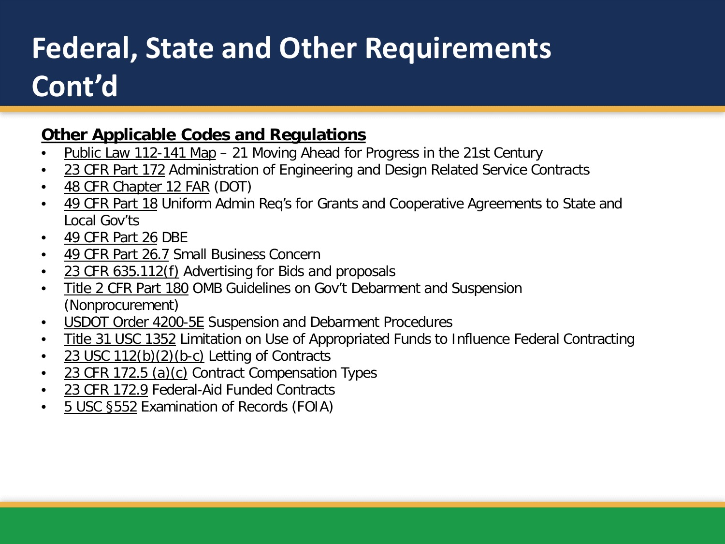# **Federal, State and Other Requirements Cont'd**

#### **Other Applicable Codes and Regulations**

- Public Law 112-141 Map 21 Moving Ahead for Progress in the 21st Century
- 23 CFR Part 172 Administration of Engineering and Design Related Service Contracts
- 48 CFR Chapter 12 FAR (DOT)
- 49 CFR Part 18 Uniform Admin Req's for Grants and Cooperative Agreements to State and Local Gov'ts
- 49 CFR Part 26 DBE
- 49 CFR Part 26.7 Small Business Concern
- 23 CFR 635.112(f) Advertising for Bids and proposals
- Title 2 CFR Part 180 OMB Guidelines on Gov't Debarment and Suspension (Nonprocurement)
- USDOT Order 4200-5E Suspension and Debarment Procedures
- Title 31 USC 1352 Limitation on Use of Appropriated Funds to Influence Federal Contracting
- 23 USC 112(b)(2)(b-c) Letting of Contracts
- 23 CFR 172.5 (a)(c) Contract Compensation Types
- 23 CFR 172.9 Federal-Aid Funded Contracts
- 5 USC §552 Examination of Records (FOIA)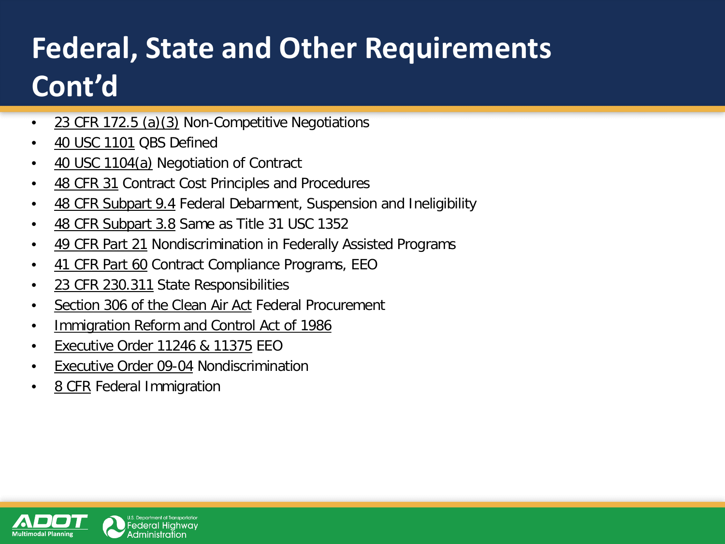# **Federal, State and Other Requirements Cont'd**

- 23 CFR 172.5 (a)(3) Non-Competitive Negotiations
- 40 USC 1101 QBS Defined
- 40 USC 1104(a) Negotiation of Contract
- 48 CFR 31 Contract Cost Principles and Procedures
- 48 CFR Subpart 9.4 Federal Debarment, Suspension and Ineligibility
- 48 CFR Subpart 3.8 Same as Title 31 USC 1352
- 49 CFR Part 21 Nondiscrimination in Federally Assisted Programs
- 41 CFR Part 60 Contract Compliance Programs, EEO
- 23 CFR 230.311 State Responsibilities
- Section 306 of the Clean Air Act Federal Procurement
- Immigration Reform and Control Act of 1986
- Executive Order 11246 & 11375 EEO
- Executive Order 09-04 Nondiscrimination
- 8 CFR Federal Immigration

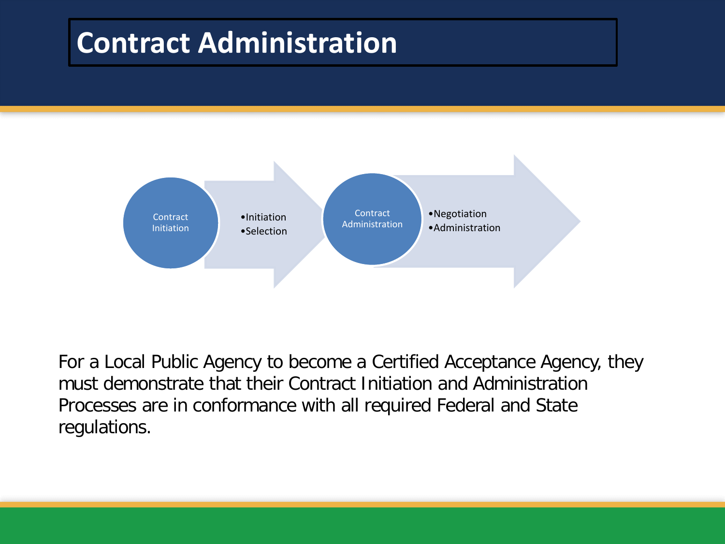### **Contract Administration**



For a Local Public Agency to become a Certified Acceptance Agency, they must demonstrate that their Contract Initiation and Administration Processes are in conformance with all required Federal and State regulations.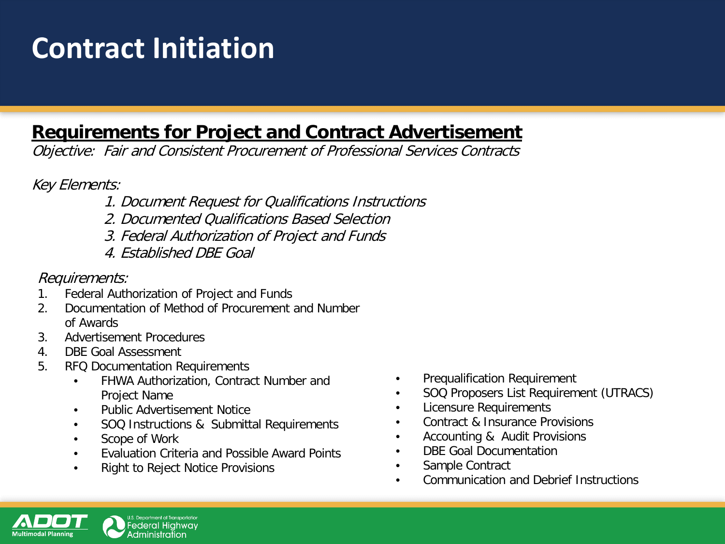## **Contract Initiation**

### **Requirements for Project and Contract Advertisement**

Objective: Fair and Consistent Procurement of Professional Services Contracts

Key Elements:

- 1. Document Request for Qualifications Instructions
- 2. Documented Qualifications Based Selection
- 3. Federal Authorization of Project and Funds
- 4. Established DBE Goal

#### Requirements:

- 1. Federal Authorization of Project and Funds
- 2. Documentation of Method of Procurement and Number of Awards
- 3. Advertisement Procedures
- 4. DBE Goal Assessment
- 5. RFQ Documentation Requirements
	- FHWA Authorization, Contract Number and Project Name
	- Public Advertisement Notice
	- SOQ Instructions & Submittal Requirements
	- Scope of Work
	- Evaluation Criteria and Possible Award Points
	- Right to Reject Notice Provisions
- Prequalification Requirement
- SOQ Proposers List Requirement (UTRACS)
- Licensure Requirements
- Contract & Insurance Provisions
- Accounting & Audit Provisions
- DBE Goal Documentation
- Sample Contract
- Communication and Debrief Instructions

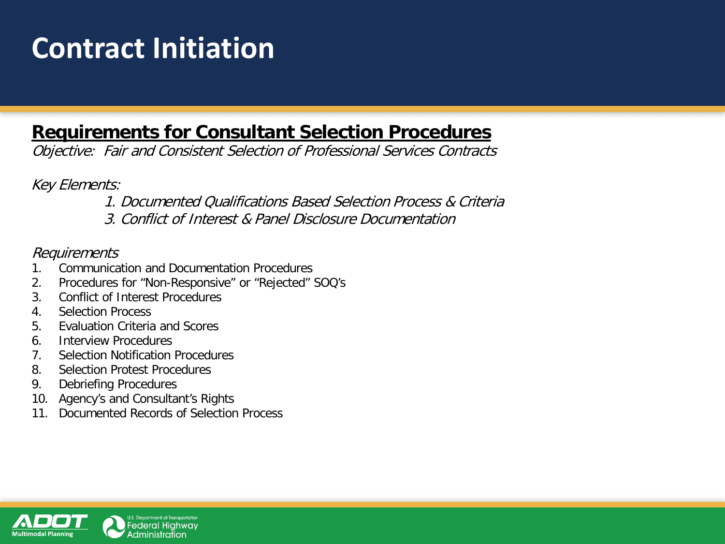## **Contract Initiation**

### **Requirements for Consultant Selection Procedures**

Objective: Fair and Consistent Selection of Professional Services Contracts

Key Elements:

1. Documented Qualifications Based Selection Process & Criteria

3. Conflict of Interest & Panel Disclosure Documentation

#### Requirements

- 1. Communication and Documentation Procedures
- 2. Procedures for "Non-Responsive" or "Rejected" SOQ's
- 3. Conflict of Interest Procedures
- 4. Selection Process
- 5. Evaluation Criteria and Scores
- 6. Interview Procedures
- 7. Selection Notification Procedures
- 8. Selection Protest Procedures
- 9. Debriefing Procedures
- 10. Agency's and Consultant's Rights
- 11. Documented Records of Selection Process

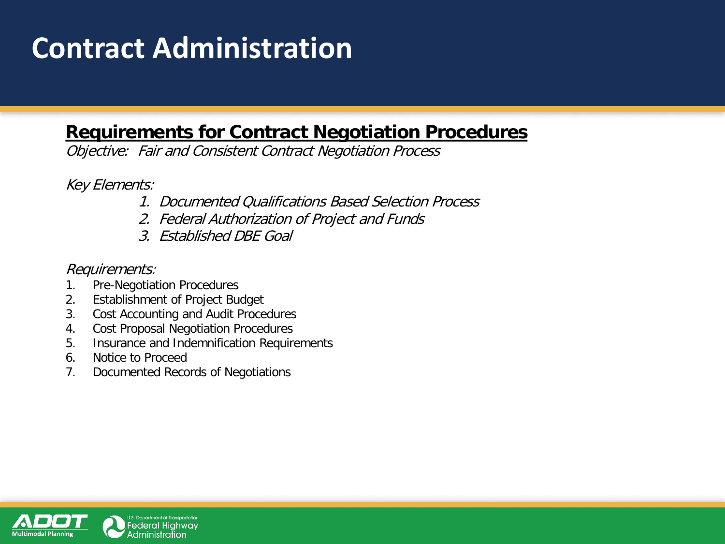## **Contract Administration**

### **Requirements for Contract Negotiation Procedures**

Objective: Fair and Consistent Contract Negotiation Process

Key Elements:

- 1. Documented Qualifications Based Selection Process
- 2. Federal Authorization of Project and Funds
- 3. Established DBE Goal

Requirements:

- 1. Pre-Negotiation Procedures
- 2. Establishment of Project Budget
- 3. Cost Accounting and Audit Procedures
- 4. Cost Proposal Negotiation Procedures
- 5. Insurance and Indemnification Requirements
- 6. Notice to Proceed
- 7. Documented Records of Negotiations

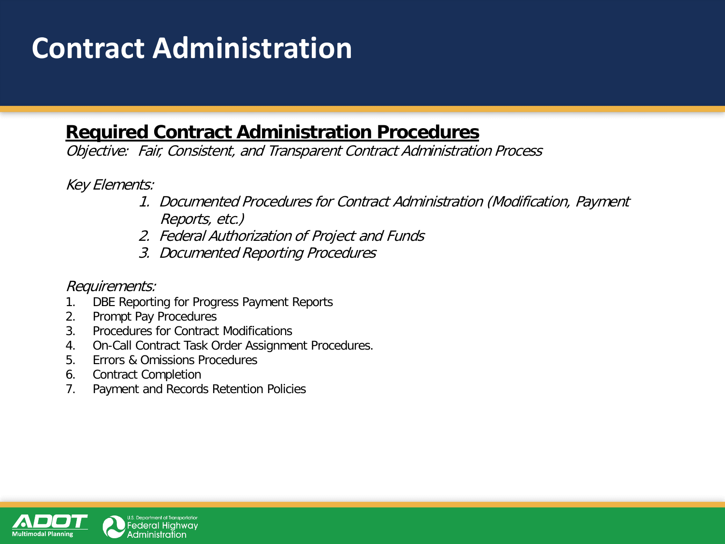## **Contract Administration**

### **Required Contract Administration Procedures**

Objective: Fair, Consistent, and Transparent Contract Administration Process

Key Elements:

- 1. Documented Procedures for Contract Administration (Modification, Payment Reports, etc.)
- 2. Federal Authorization of Project and Funds
- 3. Documented Reporting Procedures

#### Requirements:

- 1. DBE Reporting for Progress Payment Reports
- 2. Prompt Pay Procedures
- 3. Procedures for Contract Modifications
- 4. On-Call Contract Task Order Assignment Procedures.
- 5. Errors & Omissions Procedures
- 6. Contract Completion
- 7. Payment and Records Retention Policies

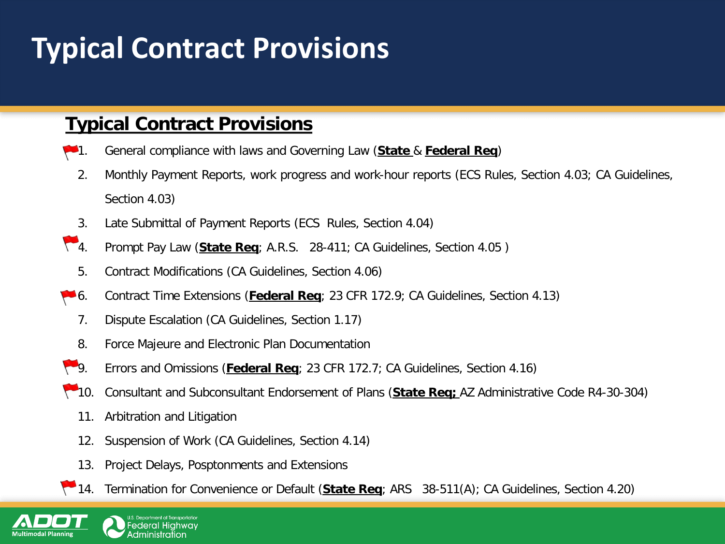## **Typical Contract Provisions**

### **Typical Contract Provisions**

- 1. General compliance with laws and Governing Law (**State** & **Federal Req**)
	- 2. Monthly Payment Reports, work progress and work-hour reports (ECS Rules, Section 4.03; CA Guidelines, Section 4.03)
- 3. Late Submittal of Payment Reports (ECS Rules, Section 4.04)
- 4. Prompt Pay Law (**State Req**; A.R.S. 28-411; CA Guidelines, Section 4.05 )
	- 5. Contract Modifications (CA Guidelines, Section 4.06)
- 6. Contract Time Extensions (**Federal Req**; 23 CFR 172.9; CA Guidelines, Section 4.13)
	- 7. Dispute Escalation (CA Guidelines, Section 1.17)
	- 8. Force Majeure and Electronic Plan Documentation
- 9. Errors and Omissions (**Federal Req**; 23 CFR 172.7; CA Guidelines, Section 4.16)
- 10. Consultant and Subconsultant Endorsement of Plans (**State Req;** AZ Administrative Code R4-30-304)
	- 11. Arbitration and Litigation
	- 12. Suspension of Work (CA Guidelines, Section 4.14)
	- 13. Project Delays, Posptonments and Extensions
- 14. Termination for Convenience or Default (**State Req**; ARS 38-511(A); CA Guidelines, Section 4.20)

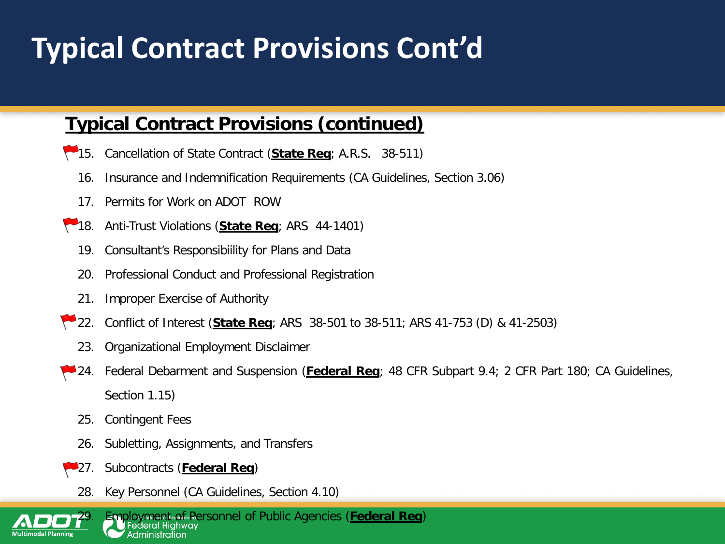## **Typical Contract Provisions Cont'd**

### **Typical Contract Provisions (continued)**

- 15. Cancellation of State Contract (**State Req**; A.R.S. 38-511)
	- 16. Insurance and Indemnification Requirements (CA Guidelines, Section 3.06)
	- 17. Permits for Work on ADOT ROW
- 18. Anti-Trust Violations (**State Req**; ARS 44-1401)
	- 19. Consultant's Responsibiility for Plans and Data
	- 20. Professional Conduct and Professional Registration
	- 21. Improper Exercise of Authority
- 22. Conflict of Interest (**State Req**; ARS 38-501 to 38-511; ARS 41-753 (D) & 41-2503)
	- 23. Organizational Employment Disclaimer
- 24. Federal Debarment and Suspension (**Federal Req**; 48 CFR Subpart 9.4; 2 CFR Part 180; CA Guidelines, Section 1.15)
	- 25. Contingent Fees
	- 26. Subletting, Assignments, and Transfers
- 27. Subcontracts (**Federal Req**)
- 28. Key Personnel (CA Guidelines, Section 4.10)

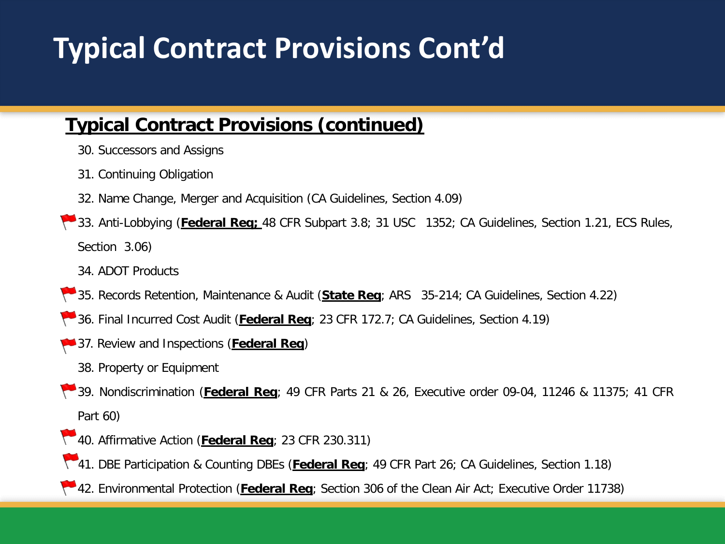## **Typical Contract Provisions Cont'd**

### **Typical Contract Provisions (continued)**

- 30. Successors and Assigns
- 31. Continuing Obligation
- 32. Name Change, Merger and Acquisition (CA Guidelines, Section 4.09)
- 33. Anti-Lobbying (**Federal Req;** 48 CFR Subpart 3.8; 31 USC 1352; CA Guidelines, Section 1.21, ECS Rules, Section 3.06)
	- 34. ADOT Products
- 35. Records Retention, Maintenance & Audit (**State Req**; ARS 35-214; CA Guidelines, Section 4.22)
- 36. Final Incurred Cost Audit (**Federal Req**; 23 CFR 172.7; CA Guidelines, Section 4.19)
- 37. Review and Inspections (**Federal Req**)
	- 38. Property or Equipment
- 39. Nondiscrimination (**Federal Req**; 49 CFR Parts 21 & 26, Executive order 09-04, 11246 & 11375; 41 CFR Part 60)
- 40. Affirmative Action (**Federal Req**; 23 CFR 230.311)
- 41. DBE Participation & Counting DBEs (**Federal Req**; 49 CFR Part 26; CA Guidelines, Section 1.18)
- 42. Environmental Protection (**Federal Req**; Section 306 of the Clean Air Act; Executive Order 11738)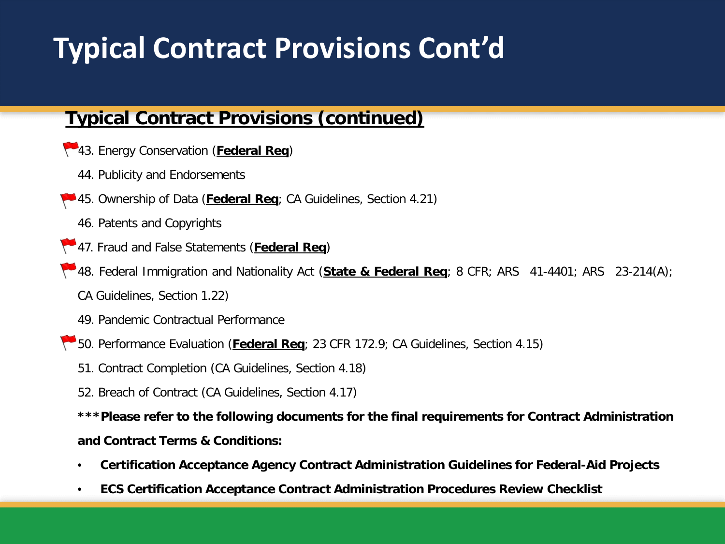## **Typical Contract Provisions Cont'd**

#### **Typical Contract Provisions (continued)**

- 43. Energy Conservation (**Federal Req**)
	- 44. Publicity and Endorsements
- 45. Ownership of Data (**Federal Req**; CA Guidelines, Section 4.21)
	- 46. Patents and Copyrights
- 47. Fraud and False Statements (**Federal Req**)
- 48. Federal Immigration and Nationality Act (**State & Federal Req**; 8 CFR; ARS 41-4401; ARS 23-214(A); CA Guidelines, Section 1.22)
	- 49. Pandemic Contractual Performance
- 50. Performance Evaluation (**Federal Req**; 23 CFR 172.9; CA Guidelines, Section 4.15)
	- 51. Contract Completion (CA Guidelines, Section 4.18)
	- 52. Breach of Contract (CA Guidelines, Section 4.17)

**\*\*\*Please refer to the following documents for the final requirements for Contract Administration and Contract Terms & Conditions:**

- **Certification Acceptance Agency Contract Administration Guidelines for Federal-Aid Projects**
- **ECS Certification Acceptance Contract Administration Procedures Review Checklist**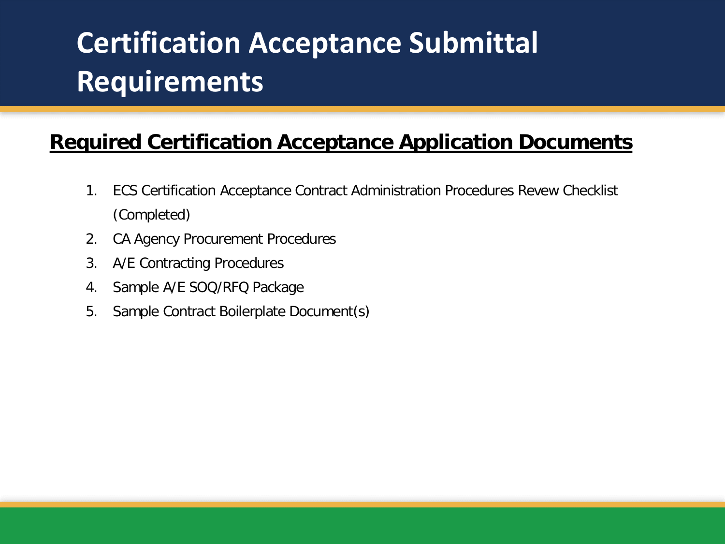# **Certification Acceptance Submittal Requirements**

### **Required Certification Acceptance Application Documents**

- 1. ECS Certification Acceptance Contract Administration Procedures Revew Checklist (Completed)
- 2. CA Agency Procurement Procedures
- 3. A/E Contracting Procedures
- 4. Sample A/E SOQ/RFQ Package
- 5. Sample Contract Boilerplate Document(s)